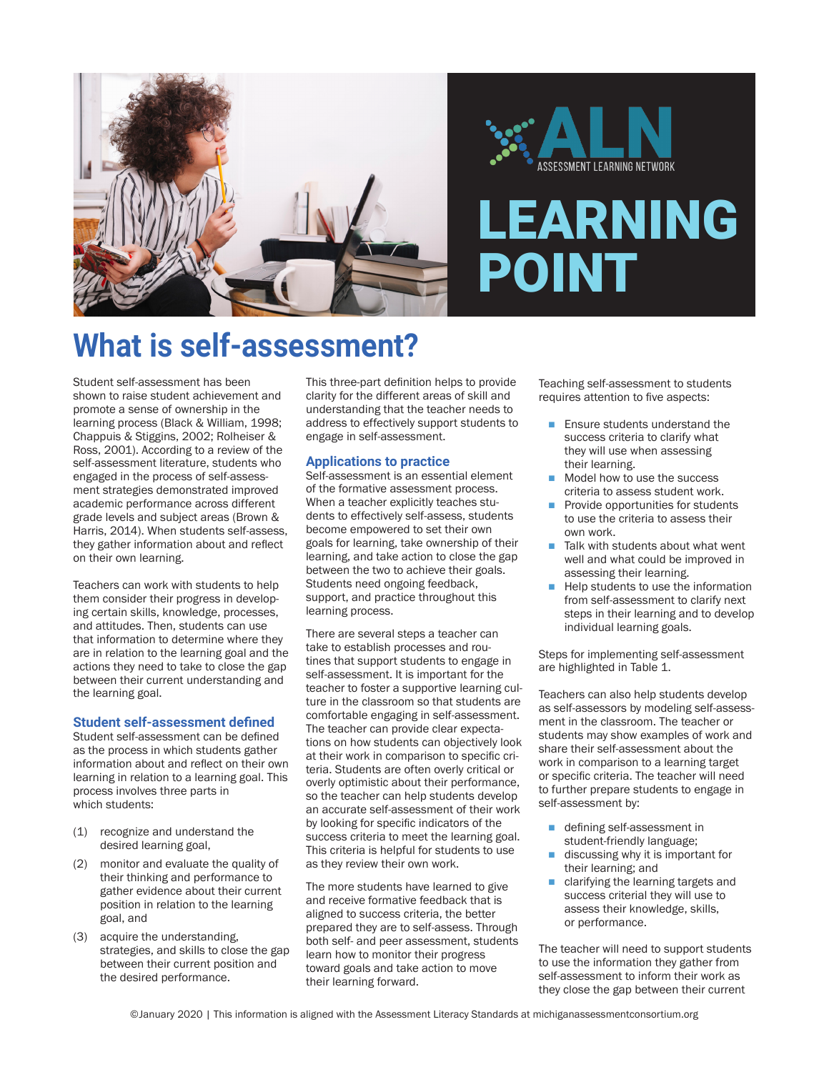

# ASSESSMENT LEARNING NETWORK

## **EARNING** POINT

## **What is self-assessment?**

Student self-assessment has been shown to raise student achievement and promote a sense of ownership in the learning process (Black & William, 1998; Chappuis & Stiggins, 2002; Rolheiser & Ross, 2001). According to a review of the self-assessment literature, students who engaged in the process of self-assessment strategies demonstrated improved academic performance across different grade levels and subject areas (Brown & Harris, 2014). When students self-assess, they gather information about and reflect on their own learning.

Teachers can work with students to help them consider their progress in developing certain skills, knowledge, processes, and attitudes. Then, students can use that information to determine where they are in relation to the learning goal and the actions they need to take to close the gap between their current understanding and the learning goal.

#### **Student self-assessment defined**

Student self-assessment can be defined as the process in which students gather information about and reflect on their own learning in relation to a learning goal. This process involves three parts in which students:

- (1) recognize and understand the desired learning goal,
- (2) monitor and evaluate the quality of their thinking and performance to gather evidence about their current position in relation to the learning goal, and
- (3) acquire the understanding, strategies, and skills to close the gap between their current position and the desired performance.

This three-part definition helps to provide clarity for the different areas of skill and understanding that the teacher needs to address to effectively support students to engage in self-assessment.

#### **Applications to practice**

Self-assessment is an essential element of the formative assessment process. When a teacher explicitly teaches students to effectively self-assess, students become empowered to set their own goals for learning, take ownership of their learning, and take action to close the gap between the two to achieve their goals. Students need ongoing feedback, support, and practice throughout this learning process.

There are several steps a teacher can take to establish processes and routines that support students to engage in self-assessment. It is important for the teacher to foster a supportive learning culture in the classroom so that students are comfortable engaging in self-assessment. The teacher can provide clear expectations on how students can objectively look at their work in comparison to specific criteria. Students are often overly critical or overly optimistic about their performance, so the teacher can help students develop an accurate self-assessment of their work by looking for specific indicators of the success criteria to meet the learning goal. This criteria is helpful for students to use as they review their own work.

The more students have learned to give and receive formative feedback that is aligned to success criteria, the better prepared they are to self-assess. Through both self- and peer assessment, students learn how to monitor their progress toward goals and take action to move their learning forward.

Teaching self-assessment to students requires attention to five aspects:

- $\blacksquare$  Ensure students understand the success criteria to clarify what they will use when assessing their learning.
- Model how to use the success criteria to assess student work.
- $\blacksquare$  Provide opportunities for students to use the criteria to assess their own work.
- $\blacksquare$  Talk with students about what went well and what could be improved in assessing their learning.
- $\blacksquare$  Help students to use the information from self-assessment to clarify next steps in their learning and to develop individual learning goals.

Steps for implementing self-assessment are highlighted in Table 1.

Teachers can also help students develop as self-assessors by modeling self-assessment in the classroom. The teacher or students may show examples of work and share their self-assessment about the work in comparison to a learning target or specific criteria. The teacher will need to further prepare students to engage in self-assessment by:

- defining self-assessment in student-friendly language;
- discussing why it is important for their learning; and
- $\blacksquare$  clarifying the learning targets and success criterial they will use to assess their knowledge, skills, or performance.

The teacher will need to support students to use the information they gather from self-assessment to inform their work as they close the gap between their current